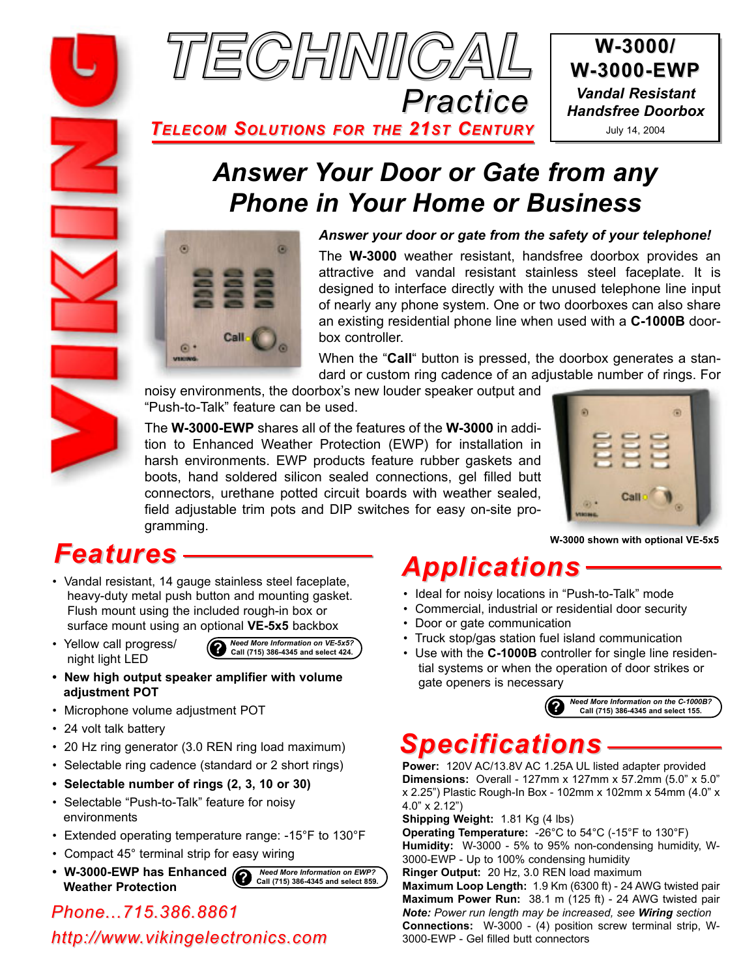

**W-3000/ W-3000-EWP -3000-EWP** *Vandal Resistant Handsfree Doorbox* July 14, 2004

*TELECOM SOLUTIONS FOR THE 21ST CENTURY*

### *Answer Your Door or Gate from any Phone in Your Home or Business*



#### *Answer your door or gate from the safety of your telephone!*

The **W-3000** weather resistant, handsfree doorbox provides an attractive and vandal resistant stainless steel faceplate. It is designed to interface directly with the unused telephone line input of nearly any phone system. One or two doorboxes can also share an existing residential phone line when used with a **C-1000B** doorbox controller.

When the "**Call**" button is pressed, the doorbox generates a standard or custom ring cadence of an adjustable number of rings. For

noisy environments, the doorbox's new louder speaker output and "Push-to-Talk" feature can be used.

The **W-3000-EWP** shares all of the features of the **W-3000** in addition to Enhanced Weather Protection (EWP) for installation in harsh environments. EWP products feature rubber gaskets and boots, hand soldered silicon sealed connections, gel filled butt connectors, urethane potted circuit boards with weather sealed, field adjustable trim pots and DIP switches for easy on-site programming.



**W-3000 shown with optional VE-5x5**

### *Features*

- Vandal resistant, 14 gauge stainless steel faceplate, heavy-duty metal push button and mounting gasket. Flush mount using the included rough-in box or surface mount using an optional **VE-5x5** backbox
- Yellow call progress/ night light LED



- **New high output speaker amplifier with volume adjustment POT**
- Microphone volume adjustment POT
- 24 volt talk battery
- 20 Hz ring generator (3.0 REN ring load maximum)
- Selectable ring cadence (standard or 2 short rings)
- **Selectable number of rings (2, 3, 10 or 30)**
- Selectable "Push-to-Talk" feature for noisy environments
- Extended operating temperature range: -15°F to 130°F
- Compact 45° terminal strip for easy wiring
- W-3000-EWP has Enhanced  $\bigcirc$  Need More Information on EWP?<br>
Meather **Pustasticu Weather Protection**

*Phone...715.386.8861 http://www.vikingelectronics.com*

### *Applications*

- Ideal for noisy locations in "Push-to-Talk" mode
- Commercial, industrial or residential door security
- Door or gate communication
- Truck stop/gas station fuel island communication
- Use with the **C-1000B** controller for single line residential systems or when the operation of door strikes or gate openers is necessary



# *Specifications*

**Power:** 120V AC/13.8V AC 1.25A UL listed adapter provided **Dimensions:** Overall - 127mm x 127mm x 57.2mm (5.0" x 5.0" x 2.25") Plastic Rough-In Box - 102mm x 102mm x 54mm (4.0" x 4.0" x 2.12")

**Shipping Weight:** 1.81 Kg (4 lbs)

**Operating Temperature:** -26°C to 54°C (-15°F to 130°F) **Humidity:** W-3000 - 5% to 95% non-condensing humidity, W-3000-EWP - Up to 100% condensing humidity

**Ringer Output:** 20 Hz, 3.0 REN load maximum

**Maximum Loop Length:** 1.9 Km (6300 ft) - 24 AWG twisted pair **Maximum Power Run:** 38.1 m (125 ft) - 24 AWG twisted pair *Note: Power run length may be increased, see Wiring section* **Connections:** W-3000 - (4) position screw terminal strip, W-3000-EWP - Gel filled butt connectors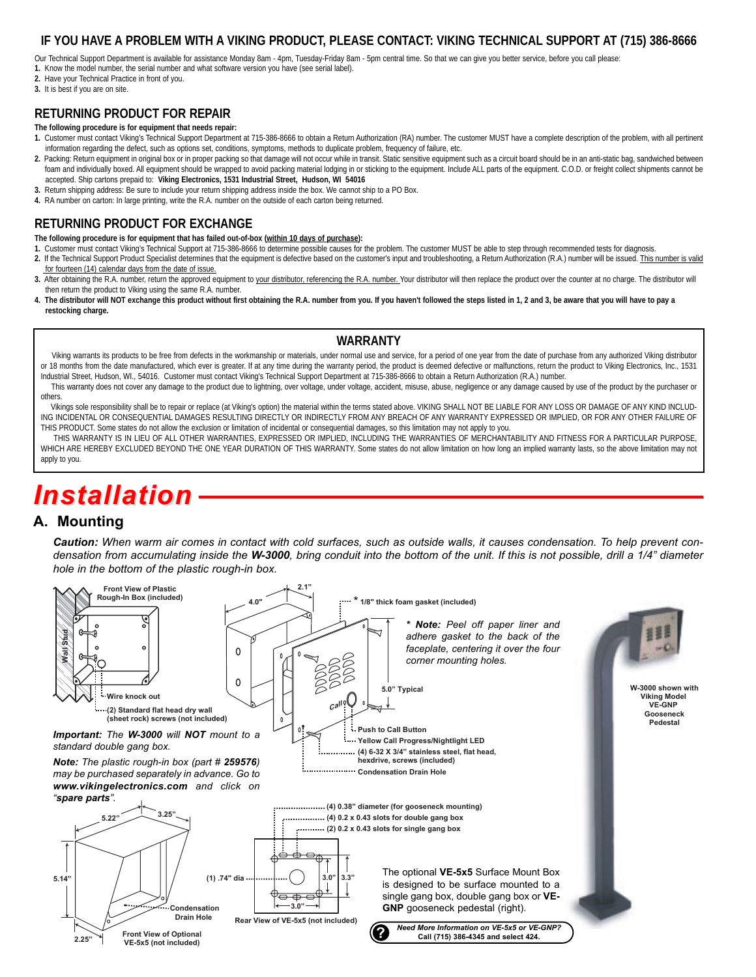#### **IF YOU HAVE A PROBLEM WITH A VIKING PRODUCT, PLEASE CONTACT: VIKING TECHNICAL SUPPORT AT (715) 386-8666**

Our Technical Support Department is available for assistance Monday 8am - 4pm, Tuesday-Friday 8am - 5pm central time. So that we can give you better service, before you call please:

**1.** Know the model number, the serial number and what software version you have (see serial label).

**2.** Have your Technical Practice in front of you.

**3.** It is best if you are on site.

#### **RETURNING PRODUCT FOR REPAIR**

#### **The following procedure is for equipment that needs repair:**

- **1.** Customer must contact Viking's Technical Support Department at 715-386-8666 to obtain a Return Authorization (RA) number. The customer MUST have a complete description of the problem, with all pertinent information regarding the defect, such as options set, conditions, symptoms, methods to duplicate problem, frequency of failure, etc.
- 2. Packing: Return equipment in original box or in proper packing so that damage will not occur while in transit. Static sensitive equipment such as a circuit board should be in an anti-static bag, sandwiched between foam and individually boxed. All equipment should be wrapped to avoid packing material lodging in or sticking to the equipment. Include ALL parts of the equipment. C.O.D. or freight collect shipments cannot be accepted. Ship cartons prepaid to: **Viking Electronics, 1531 Industrial Street, Hudson, WI 54016**
- **3.** Return shipping address: Be sure to include your return shipping address inside the box. We cannot ship to a PO Box.
- **4.** RA number on carton: In large printing, write the R.A. number on the outside of each carton being returned.

#### **RETURNING PRODUCT FOR EXCHANGE**

- **The following procedure is for equipment that has failed out-of-box (within 10 days of purchase):**
- **1.** Customer must contact Viking's Technical Support at 715-386-8666 to determine possible causes for the problem. The customer MUST be able to step through recommended tests for diagnosis.
- **2.** If the Technical Support Product Specialist determines that the equipment is defective based on the customer's input and troubleshooting, a Return Authorization (R.A.) number will be issued. This number is valid for fourteen (14) calendar days from the date of issue.
- 3. After obtaining the R.A. number, return the approved equipment to your distributor, referencing the R.A. number. Your distributor will then replace the product over the counter at no charge. The distributor will then return the product to Viking using the same R.A. number.
- **4. The distributor will NOT exchange this product without first obtaining the R.A. number from you. If you haven't followed the steps listed in 1, 2 and 3, be aware that you will have to pay a restocking charge.**

#### **WARRANTY**

Viking warrants its products to be free from defects in the workmanship or materials, under normal use and service, for a period of one year from the date of purchase from any authorized Viking distributor or 18 months from the date manufactured, which ever is greater. If at any time during the warranty period, the product is deemed defective or malfunctions, return the product to Viking Electronics, Inc., 1531 Industrial Street, Hudson, WI., 54016. Customer must contact Viking's Technical Support Department at 715-386-8666 to obtain a Return Authorization (R.A.) number.

This warranty does not cover any damage to the product due to lightning, over voltage, under voltage, accident, misuse, abuse, negligence or any damage caused by use of the product by the purchaser or others.

Vikings sole responsibility shall be to repair or replace (at Viking's option) the material within the terms stated above. VIKING SHALL NOT BE LIABLE FOR ANY LOSS OR DAMAGE OF ANY KIND INCLUD-ING INCIDENTAL OR CONSEQUENTIAL DAMAGES RESULTING DIRECTLY OR INDIRECTLY FROM ANY BREACH OF ANY WARRANTY EXPRESSED OR IMPLIED, OR FOR ANY OTHER FAILURE OF THIS PRODUCT. Some states do not allow the exclusion or limitation of incidental or consequential damages, so this limitation may not apply to you.

THIS WARRANTY IS IN LIEU OF ALL OTHER WARRANTIES, EXPRESSED OR IMPLIED, INCLUDING THE WARRANTIES OF MERCHANTABILITY AND FITNESS FOR A PARTICULAR PURPOSE, WHICH ARE HEREBY EXCLUDED BEYOND THE ONE YEAR DURATION OF THIS WARRANTY. Some states do not allow limitation on how long an implied warranty lasts, so the above limitation may not apply to you.

# *Installation*

#### **A. Mounting**

*Caution: When warm air comes in contact with cold surfaces, such as outside walls, it causes condensation. To help prevent condensation from accumulating inside the W-3000, bring conduit into the bottom of the unit. If this is not possible, drill a 1/4" diameter hole in the bottom of the plastic rough-in box.*

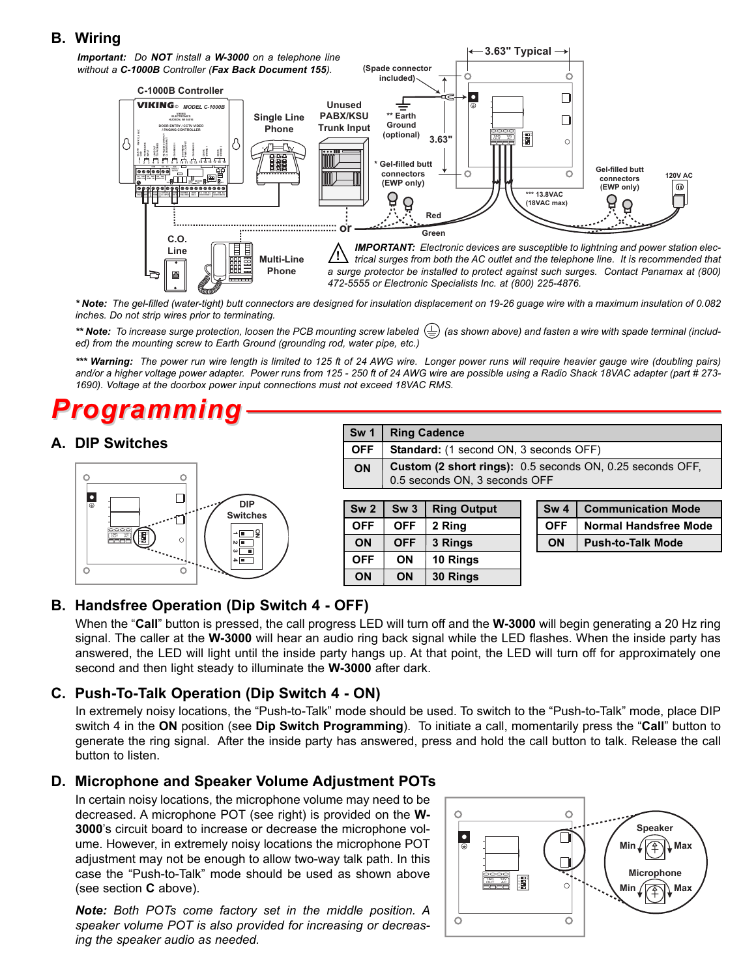#### **B. Wiring**



*\* Note: The gel-filled (water-tight) butt connectors are designed for insulation displacement on 19-26 guage wire with a maximum insulation of 0.082 inches. Do not strip wires prior to terminating.*

\*\* Note: To increase surge protection, loosen the PCB mounting screw labeled  $(\frac{1}{n})$  (as shown above) and fasten a wire with spade terminal (includ*ed) from the mounting screw to Earth Ground (grounding rod, water pipe, etc.)*

*\*\*\* Warning: The power run wire length is limited to 125 ft of 24 AWG wire. Longer power runs will require heavier gauge wire (doubling pairs) and/or a higher voltage power adapter. Power runs from 125 - 250 ft of 24 AWG wire are possible using a Radio Shack 18VAC adapter (part # 273- 1690). Voltage at the doorbox power input connections must not exceed 18VAC RMS.*

### *Programmi*

#### **A. DIP Switches**



|            | Sw 1   Ring Cadence                                                                            |
|------------|------------------------------------------------------------------------------------------------|
| <b>OFF</b> | Standard: (1 second ON, 3 seconds OFF)                                                         |
| <b>ON</b>  | <b>Custom (2 short rings):</b> 0.5 seconds ON, 0.25 seconds OFF, 0.5 seconds ON, 3 seconds OFF |
|            |                                                                                                |

| Sw <sub>2</sub> | Sw <sub>3</sub> | <b>Ring Output</b> |
|-----------------|-----------------|--------------------|
| <b>OFF</b>      | <b>OFF</b>      | 2 Ring             |
| ON              | <b>OFF</b>      | 3 Rings            |
| <b>OFF</b>      | ON              | 10 Rings           |
| ON              | ON              | 30 Rings           |

|    | Sw 4   Communication Mode   |
|----|-----------------------------|
|    | OFF   Normal Handsfree Mode |
| ΩN | <b>Push-to-Talk Mode</b>    |

### **B. Handsfree Operation (Dip Switch 4 - OFF)**

When the "**Call**" button is pressed, the call progress LED will turn off and the **W-3000** will begin generating a 20 Hz ring signal. The caller at the **W-3000** will hear an audio ring back signal while the LED flashes. When the inside party has answered, the LED will light until the inside party hangs up. At that point, the LED will turn off for approximately one second and then light steady to illuminate the **W-3000** after dark.

#### **C. Push-To-Talk Operation (Dip Switch 4 - ON)**

In extremely noisy locations, the "Push-to-Talk" mode should be used. To switch to the "Push-to-Talk" mode, place DIP switch 4 in the **ON** position (see **Dip Switch Programming**). To initiate a call, momentarily press the "**Call**" button to generate the ring signal. After the inside party has answered, press and hold the call button to talk. Release the call button to listen.

#### **D. Microphone and Speaker Volume Adjustment POTs**

In certain noisy locations, the microphone volume may need to be decreased. A microphone POT (see right) is provided on the **W-3000**'s circuit board to increase or decrease the microphone volume. However, in extremely noisy locations the microphone POT adjustment may not be enough to allow two-way talk path. In this case the "Push-to-Talk" mode should be used as shown above (see section **C** above).

*Note: Both POTs come factory set in the middle position. A speaker volume POT is also provided for increasing or decreasing the speaker audio as needed.*